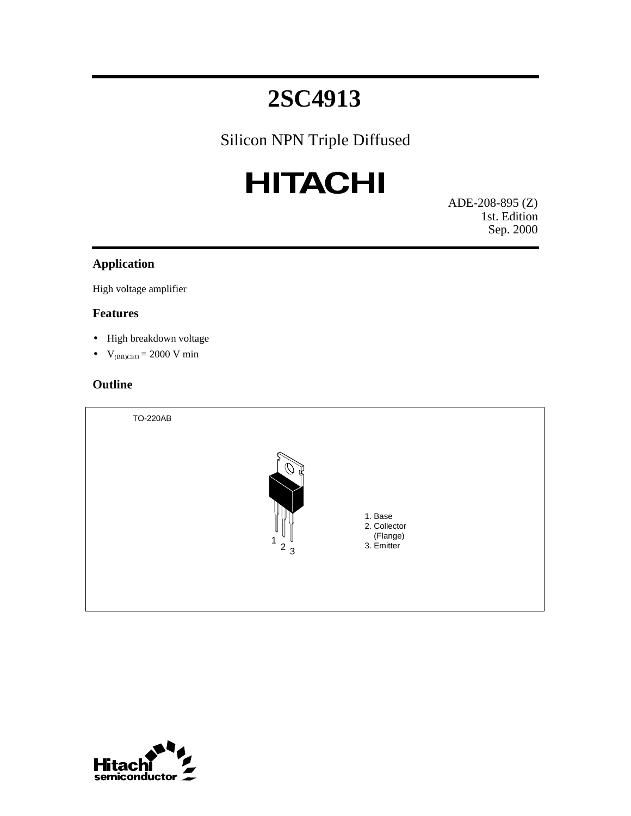# Silicon NPN Triple Diffused

# **HITACHI**

ADE-208-895 (Z) 1st. Edition Sep. 2000

#### **Application**

High voltage amplifier

#### **Features**

- High breakdown voltage
- $V_{(BR)CEO} = 2000 V min$

# **Outline**

TO-220AB



1. Base 2. Collector (Flange) 3. Emitter

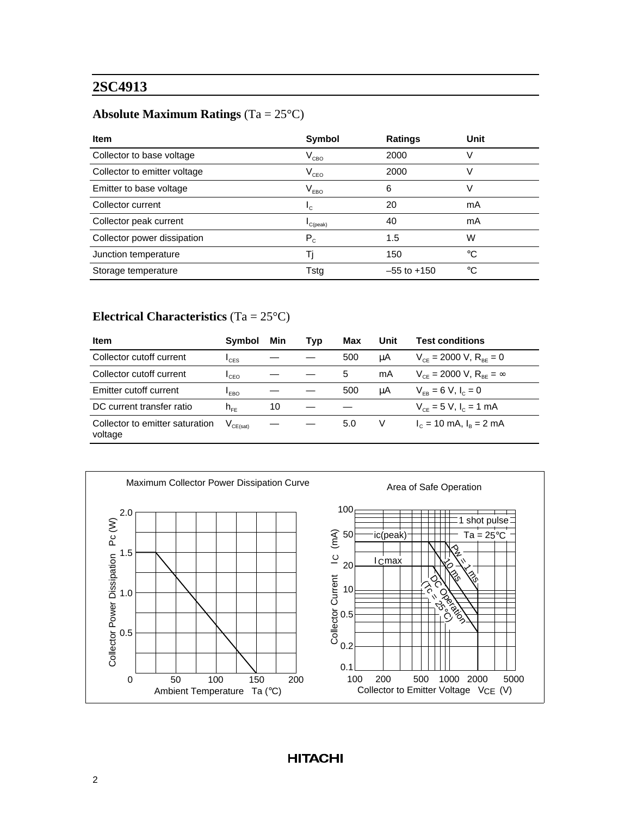# **Absolute Maximum Ratings** (Ta = 25°C)

| <b>Item</b>                  | <b>Symbol</b>               | <b>Ratings</b>  | Unit |
|------------------------------|-----------------------------|-----------------|------|
| Collector to base voltage    | $\rm V_{cbo}$               | 2000            | V    |
| Collector to emitter voltage | $\rm V_{ceo}$               | 2000            | V    |
| Emitter to base voltage      | $\mathsf{V}_{\mathsf{EBO}}$ | 6               | V    |
| Collector current            | $L_{\rm C}$                 | 20              | mA   |
| Collector peak current       | $C$ (peak)                  | 40              | mA   |
| Collector power dissipation  | $P_c$                       | 1.5             | W    |
| Junction temperature         | Ti                          | 150             | °C   |
| Storage temperature          | Tstg                        | $-55$ to $+150$ | °C   |

### **Electrical Characteristics** (Ta = 25°C)

| <b>Item</b>                                | <b>Symbol</b>                            | Min | Typ | Max | Unit | <b>Test conditions</b>                 |
|--------------------------------------------|------------------------------------------|-----|-----|-----|------|----------------------------------------|
| Collector cutoff current                   | $\mathsf{I}_{\mathsf{CES}}$              |     |     | 500 | μA   | $V_{ce}$ = 2000 V, $R_{ee}$ = 0        |
| Collector cutoff current                   | $L_{\text{CEO}}$                         |     |     | 5   | mA   | $V_{ce}$ = 2000 V, $R_{ee}$ = $\infty$ |
| Emitter cutoff current                     | $I_{EBO}$                                |     |     | 500 | μA   | $V_{FB} = 6 V, I_c = 0$                |
| DC current transfer ratio                  | $h_{\text{eff}}$                         | 10  |     |     |      | $V_{ce} = 5 V, I_c = 1 mA$             |
| Collector to emitter saturation<br>voltage | $\mathsf{V}_{\mathsf{CE}(\mathsf{sat})}$ |     |     | 5.0 | V    | $I_c = 10$ mA, $I_B = 2$ mA            |

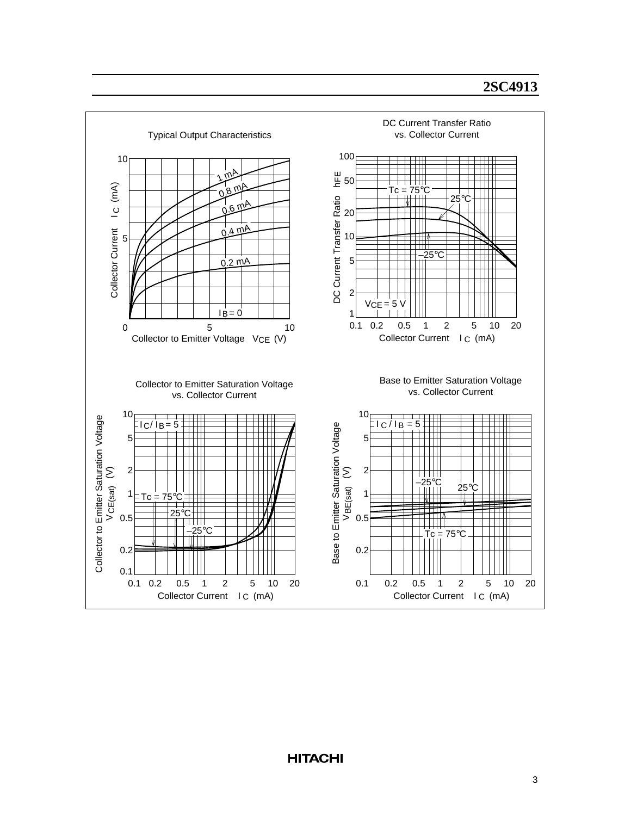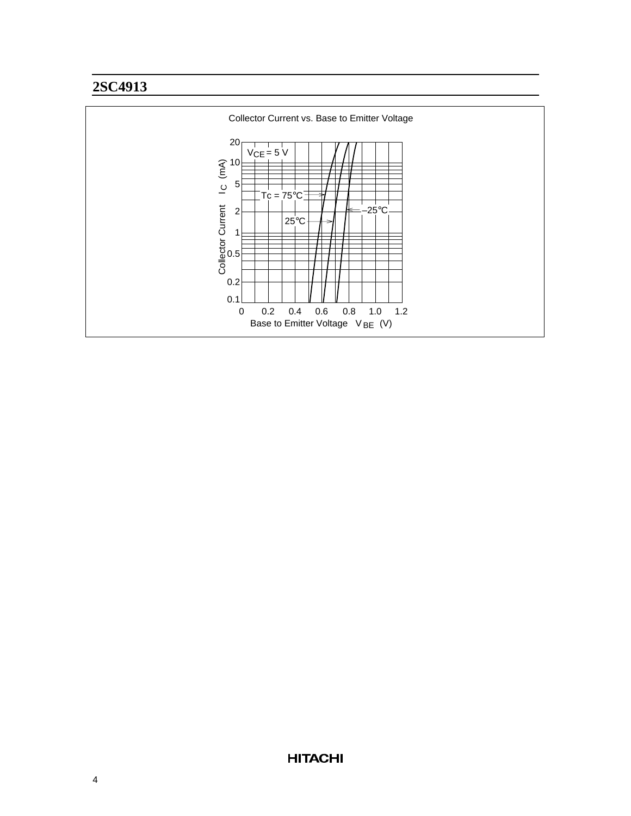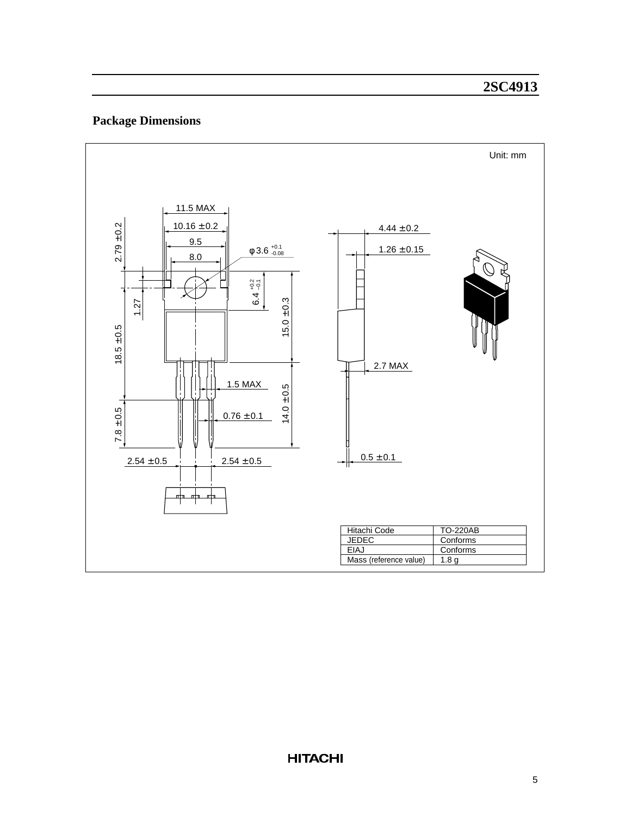# **Package Dimensions**